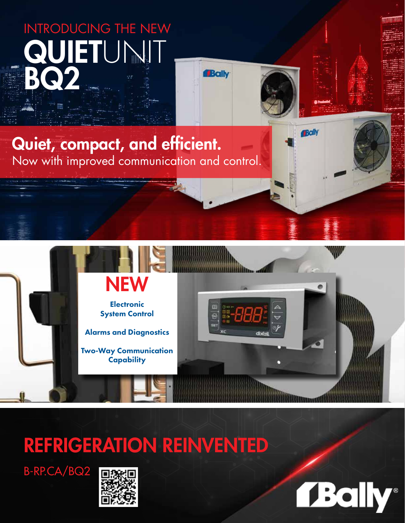# **QUIETUNIT** BQ INTRODUCING THE NEW

## Quiet, compact, and efficient. Now with improved communication and control.

# REFRIGERATION REINVENTED

B-RP.CA/BQ2







**Bally** 

**Bally**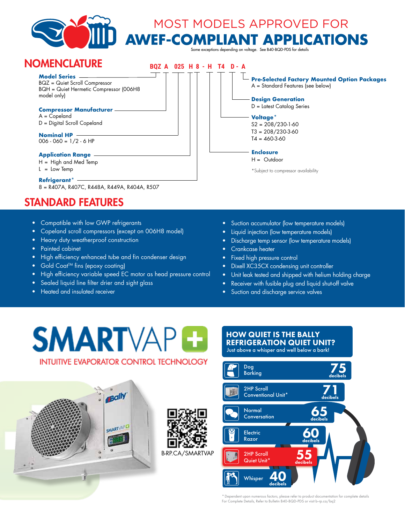

#### STANDARD FEATURES

- Compatible with low GWP refrigerants
- Copeland scroll compressors (except on 006H8 model)
- Heavy duty weatherproof construction
- Painted cabinet
- High efficiency enhanced tube and fin condenser design
- Gold Coat<sup>™</sup> fins (epoxy coating)
- High efficiency variable speed EC motor as head pressure control
- Sealed liquid line filter drier and sight glass
- Heated and insulated receiver
- Suction accumulator (low temperature models)
- Liquid injection (low temperature models)
- Discharge temp sensor (low temperature models)
- Crankcase heater
- Fixed high pressure control
- Dixell XC35CX condensing unit controller
- Unit leak tested and shipped with helium holding charge
- Receiver with fusible plug and liquid shut-off valve
- Suction and discharge service valves

## **SMARTVA INTUITIVE EVAPORATOR CONTROL TECHNOLOGY**





\* Dependent upon numerous factors, please refer to product documentation for complete details For Complete Details, Refer to Bulletin B40-BQD-PDS or visit b-rp.ca/bq2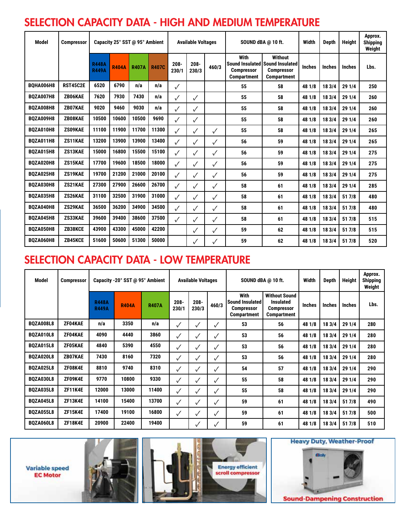### SELECTION CAPACITY DATA - HIGH AND MEDIUM TEMPERATURE

| <b>Model</b>     | <b>Compressor</b> | Capacity 25° SST @ 95° Ambient |              |              |              | <b>Available Voltages</b> |                  |              | SOUND dBA @ 10 ft.                              |                                                                                              | Width         | <b>Depth</b>  | Height        | Approx.<br><b>Shipping</b><br>Weight |
|------------------|-------------------|--------------------------------|--------------|--------------|--------------|---------------------------|------------------|--------------|-------------------------------------------------|----------------------------------------------------------------------------------------------|---------------|---------------|---------------|--------------------------------------|
|                  |                   | <b>R448A</b><br><b>R449A</b>   | <b>R404A</b> | <b>R407A</b> | <b>R407C</b> | $208 -$<br>230/1          | $208 -$<br>230/3 | 460/3        | With<br><b>Compressor</b><br><b>Compartment</b> | <b>Without</b><br>Sound Insulated Sound Insulated<br><b>Compressor</b><br><b>Compartment</b> | <b>Inches</b> | <b>Inches</b> | <b>Inches</b> | Lbs.                                 |
| BOHA006H8        | <b>RST45C2E</b>   | 6520                           | 6790         | n/a          | n/a          | $\checkmark$              |                  |              | 55                                              | 58                                                                                           | 48 1/8        | 18 3/4        | 29 1/4        | 250                                  |
| <b>BOZA007H8</b> | ZB06KAE           | 7620                           | 7930         | 7430         | n/a          | ✓                         | ✓                |              | 55                                              | 58                                                                                           | 48 1/8        | 18 3/4        | 29 1/4        | 260                                  |
| <b>BOZA008H8</b> | ZB07KAE           | 9020                           | 9460         | 9030         | n/a          | $\checkmark$              | $\checkmark$     |              | 55                                              | 58                                                                                           | 48 1/8        | 18 3/4        | 29 1/4        | 260                                  |
| <b>BOZA009H8</b> | ZB08KAE           | 10500                          | 10600        | 10500        | 9690         | $\checkmark$              | ✓                |              | 55                                              | 58                                                                                           | 48 1/8        | 18 3/4        | 29 1/4        | 260                                  |
| <b>BOZA010H8</b> | ZS09KAE           | 11100                          | 11900        | 11700        | 11300        | $\checkmark$              |                  | $\checkmark$ | 55                                              | 58                                                                                           | 48 1/8        | 18 3/4        | 29 1/4        | 265                                  |
| <b>BOZA011H8</b> | ZS11KAE           | 13200                          | 13900        | 13900        | 13400        | $\checkmark$              | $\checkmark$     | $\checkmark$ | 56                                              | 59                                                                                           | 48 1/8        | 18 3/4        | 29 1/4        | 265                                  |
| <b>BOZA015H8</b> | ZS13KAE           | 15000                          | 16800        | 15500        | 15100        | $\checkmark$              | $\checkmark$     | $\checkmark$ | 56                                              | 59                                                                                           | 48 1/8        | 18 3/4        | 29 1/4        | 275                                  |
| <b>BQZA020H8</b> | ZS15KAE           | 17700                          | 19600        | 18500        | 18000        | ✓                         | $\checkmark$     | ✓            | 56                                              | 59                                                                                           | 48 1/8        | 18 3/4        | 29 1/4        | 275                                  |
| <b>BOZA025H8</b> | ZS19KAE           | 19700                          | 21200        | 21000        | 20100        | $\checkmark$              | ✓                | ✓            | 56                                              | 59                                                                                           | 48 1/8        | 18 3/4        | 29 1/4        | 275                                  |
| <b>BOZA030H8</b> | ZS21KAE           | 27300                          | 27900        | 26600        | 26700        | $\checkmark$              | $\checkmark$     | ✓            | 58                                              | 61                                                                                           | 48 1/8        | 18 3/4        | 29 1/4        | 285                                  |
| <b>BOZA035H8</b> | ZS26KAE           | 31100                          | 32500        | 31900        | 31000        | ✓                         | $\checkmark$     | ✓            | 58                                              | 61                                                                                           | 48 1/8        | 18 3/4        | 51 7/8        | 480                                  |
| <b>BOZA040H8</b> | ZS29KAE           | 36500                          | 36200        | 34900        | 34500        | $\checkmark$              | $\checkmark$     | $\checkmark$ | 58                                              | 61                                                                                           | 48 1/8        | 18 3/4        | 51 7/8        | 480                                  |
| <b>BOZA045H8</b> | ZS33KAE           | 39600                          | 39400        | 38600        | 37500        | $\checkmark$              | $\checkmark$     | $\checkmark$ | 58                                              | 61                                                                                           | 48 1/8        | 18 3/4        | 51 7/8        | 515                                  |
| <b>BOZA050H8</b> | ZB38KCE           | 43900                          | 43300        | 45000        | 42200        |                           | ✓                | ✓            | 59                                              | 62                                                                                           | 48 1/8        | 18 3/4        | 51 7/8        | 515                                  |
| <b>BOZA060H8</b> | ZB45KCE           | 51600                          | 50600        | 51300        | 50000        |                           | ✓                |              | 59                                              | 62                                                                                           | 48 1/8        | 18 3/4        | 51 7/8        | 520                                  |

#### SELECTION CAPACITY DATA - LOW TEMPERATURE

| Model            | <b>Compressor</b> | Capacity -20° SST @ 95° Ambient | <b>Available Voltages</b> |              |                  | SOUND dBA @ 10 ft. |              | Width                                                                     | <b>Depth</b>                                                                 | <b>Height</b> | Approx.<br><b>Shipping</b><br>Weight |               |      |
|------------------|-------------------|---------------------------------|---------------------------|--------------|------------------|--------------------|--------------|---------------------------------------------------------------------------|------------------------------------------------------------------------------|---------------|--------------------------------------|---------------|------|
|                  |                   | <b>R448A</b><br><b>R449A</b>    | <b>R404A</b>              | <b>R407A</b> | $208 -$<br>230/1 | $208 -$<br>230/3   | 460/3        | With<br><b>Sound Insulated</b><br><b>Compressor</b><br><b>Compartment</b> | <b>Without Sound</b><br><b>Insulated</b><br><b>Compressor</b><br>Compartment | <b>Inches</b> | <b>Inches</b>                        | <b>Inches</b> | Lbs. |
| <b>BQZA008L8</b> | ZF04KAE           | n/a                             | 3350                      | n/a          | ✓                | ✓                  | $\checkmark$ | 53                                                                        | 56                                                                           | 48 1/8        | 18 3/4                               | 29 1/4        | 280  |
| <b>BQZA010L8</b> | ZF04KAE           | 4090                            | 4440                      | 3860         | ✓                | ✓                  | ✓            | 53                                                                        | 56                                                                           | 48 1/8        | 18 3/4                               | 29 1/4        | 280  |
| <b>BQZA015L8</b> | ZF05KAE           | 4840                            | 5390                      | 4550         | $\checkmark$     |                    |              | 53                                                                        | 56                                                                           | 48 1/8        | 18 3/4                               | 29 1/4        | 280  |
| <b>BQZA020L8</b> | ZB07KAE           | 7430                            | 8160                      | 7320         | $\checkmark$     | ✓                  | v            | 53                                                                        | 56                                                                           | 48 1/8        | 18 3/4                               | 29 1/4        | 280  |
| <b>BQZA025L8</b> | ZF08K4E           | 8810                            | 9740                      | 8310         | ✓                | ✓                  | $\checkmark$ | 54                                                                        | 57                                                                           | 48 1/8        | 18 3/4                               | 29 1/4        | 290  |
| BQZA030L8        | ZF09K4E           | 9770                            | 10800                     | 9330         | ✓                | ✓                  | $\checkmark$ | 55                                                                        | 58                                                                           | 48 1/8        | 18 3/4                               | 29 1/4        | 290  |
| <b>BQZA035L8</b> | <b>ZF11K4E</b>    | 12000                           | 13000                     | 11400        | ✓                | ✓                  | $\checkmark$ | 55                                                                        | 58                                                                           | 48 1/8        | 18 3/4                               | 29 1/4        | 290  |
| <b>BQZA045L8</b> | <b>ZF13K4E</b>    | 14100                           | 15400                     | 13700        | ✓                | ✓                  | ✓            | 59                                                                        | 61                                                                           | 48 1/8        | 18 3/4                               | 51 7/8        | 490  |
| <b>BQZA055L8</b> | <b>ZF15K4E</b>    | 17400                           | 19100                     | 16800        | ✓                |                    |              | 59                                                                        | 61                                                                           | 48 1/8        | 18 3/4                               | 51 7/8        | 500  |
| <b>BQZA060L8</b> | <b>ZF18K4E</b>    | 20900                           | 22400                     | 19400        |                  |                    |              | 59                                                                        | 61                                                                           | 48 1/8        | 18 3/4                               | 51 7/8        | 510  |

**Variable speed EC Motor** 





**Heavy Duty, Weather-Proof**